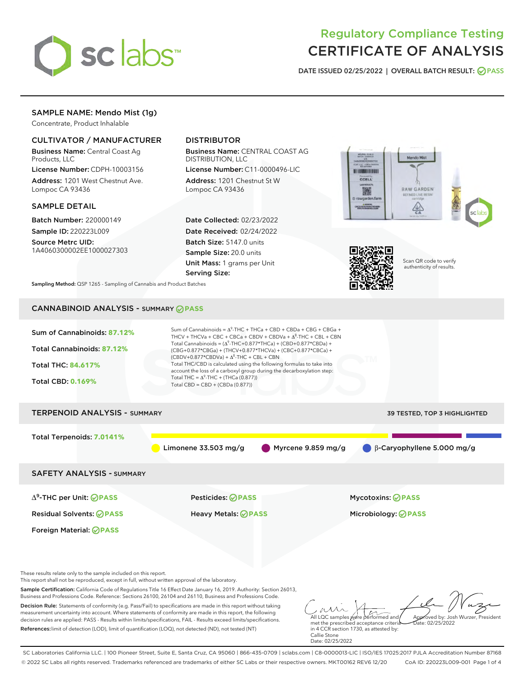

# Regulatory Compliance Testing CERTIFICATE OF ANALYSIS

DATE ISSUED 02/25/2022 | OVERALL BATCH RESULT: @ PASS

## SAMPLE NAME: Mendo Mist (1g)

Concentrate, Product Inhalable

## CULTIVATOR / MANUFACTURER

Business Name: Central Coast Ag Products, LLC

License Number: CDPH-10003156 Address: 1201 West Chestnut Ave. Lompoc CA 93436

## SAMPLE DETAIL

Batch Number: 220000149 Sample ID: 220223L009

Source Metrc UID: 1A4060300002EE1000027303

## DISTRIBUTOR

Business Name: CENTRAL COAST AG DISTRIBUTION, LLC

License Number: C11-0000496-LIC Address: 1201 Chestnut St W Lompoc CA 93436

Date Collected: 02/23/2022 Date Received: 02/24/2022 Batch Size: 5147.0 units Sample Size: 20.0 units Unit Mass: 1 grams per Unit Serving Size:





Scan QR code to verify authenticity of results.

Sampling Method: QSP 1265 - Sampling of Cannabis and Product Batches

## CANNABINOID ANALYSIS - SUMMARY **PASS**



References:limit of detection (LOD), limit of quantification (LOQ), not detected (ND), not tested (NT)

in 4 CCR section 1730, as attested by: Callie Stone Date: 02/25/2022

SC Laboratories California LLC. | 100 Pioneer Street, Suite E, Santa Cruz, CA 95060 | 866-435-0709 | sclabs.com | C8-0000013-LIC | ISO/IES 17025:2017 PJLA Accreditation Number 87168 © 2022 SC Labs all rights reserved. Trademarks referenced are trademarks of either SC Labs or their respective owners. MKT00162 REV6 12/20 CoA ID: 220223L009-001 Page 1 of 4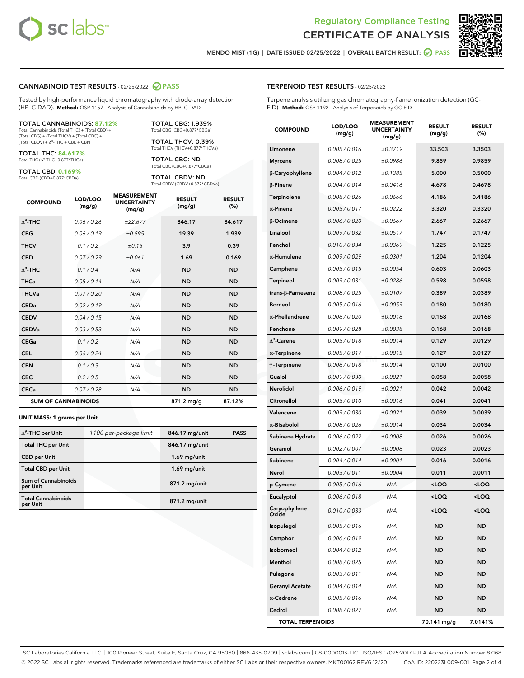



MENDO MIST (1G) | DATE ISSUED 02/25/2022 | OVERALL BATCH RESULT: ◯ PASS

#### CANNABINOID TEST RESULTS - 02/25/2022 2 PASS

Tested by high-performance liquid chromatography with diode-array detection (HPLC-DAD). **Method:** QSP 1157 - Analysis of Cannabinoids by HPLC-DAD

## TOTAL CANNABINOIDS: **87.12%**

Total Cannabinoids (Total THC) + (Total CBD) + (Total CBG) + (Total THCV) + (Total CBC) +  $(Total CBDV) +  $\Delta^8$ -THC + CBL + CBN$ 

TOTAL THC: **84.617%** Total THC (Δ<sup>9</sup>-THC+0.877\*THCa)

TOTAL CBD: **0.169%**

Total CBD (CBD+0.877\*CBDa)

TOTAL CBG: 1.939% Total CBG (CBG+0.877\*CBGa)

TOTAL THCV: 0.39% Total THCV (THCV+0.877\*THCVa)

TOTAL CBC: ND Total CBC (CBC+0.877\*CBCa)

TOTAL CBDV: ND Total CBDV (CBDV+0.877\*CBDVa)

| <b>COMPOUND</b>            | LOD/LOQ<br>(mg/g) | <b>MEASUREMENT</b><br><b>UNCERTAINTY</b><br>(mg/g) | <b>RESULT</b><br>(mg/g) | <b>RESULT</b><br>(%) |
|----------------------------|-------------------|----------------------------------------------------|-------------------------|----------------------|
| $\Delta^9$ -THC            | 0.06/0.26         | ±22.677                                            | 846.17                  | 84.617               |
| <b>CBG</b>                 | 0.06/0.19         | ±0.595                                             | 19.39                   | 1.939                |
| <b>THCV</b>                | 0.1/0.2           | ±0.15                                              | 3.9                     | 0.39                 |
| <b>CBD</b>                 | 0.07/0.29         | ±0.061                                             | 1.69                    | 0.169                |
| $\Delta^8$ -THC            | 0.1/0.4           | N/A                                                | <b>ND</b>               | <b>ND</b>            |
| <b>THCa</b>                | 0.05/0.14         | N/A                                                | <b>ND</b>               | <b>ND</b>            |
| <b>THCVa</b>               | 0.07/0.20         | N/A                                                | <b>ND</b>               | <b>ND</b>            |
| <b>CBDa</b>                | 0.02/0.19         | N/A                                                | <b>ND</b>               | <b>ND</b>            |
| <b>CBDV</b>                | 0.04/0.15         | N/A                                                | <b>ND</b>               | <b>ND</b>            |
| <b>CBDVa</b>               | 0.03/0.53         | N/A                                                | <b>ND</b>               | <b>ND</b>            |
| <b>CBGa</b>                | 0.1/0.2           | N/A                                                | <b>ND</b>               | <b>ND</b>            |
| <b>CBL</b>                 | 0.06 / 0.24       | N/A                                                | <b>ND</b>               | <b>ND</b>            |
| <b>CBN</b>                 | 0.1/0.3           | N/A                                                | <b>ND</b>               | <b>ND</b>            |
| <b>CBC</b>                 | 0.2 / 0.5         | N/A                                                | <b>ND</b>               | <b>ND</b>            |
| <b>CBCa</b>                | 0.07/0.28         | N/A                                                | <b>ND</b>               | <b>ND</b>            |
| <b>SUM OF CANNABINOIDS</b> |                   |                                                    | $871.2 \,\mathrm{mg/g}$ | 87.12%               |

#### **UNIT MASS: 1 grams per Unit**

| $\Delta^9$ -THC per Unit               | 1100 per-package limit | 846.17 mg/unit | <b>PASS</b> |
|----------------------------------------|------------------------|----------------|-------------|
| <b>Total THC per Unit</b>              |                        | 846.17 mg/unit |             |
| <b>CBD</b> per Unit                    |                        | $1.69$ mg/unit |             |
| <b>Total CBD per Unit</b>              |                        | $1.69$ mg/unit |             |
| <b>Sum of Cannabinoids</b><br>per Unit |                        | 871.2 mg/unit  |             |
| <b>Total Cannabinoids</b><br>per Unit  |                        | 871.2 mg/unit  |             |

| <b>COMPOUND</b>         | LOD/LOQ<br>(mg/g) | <b>MEASUREMENT</b><br><b>UNCERTAINTY</b><br>(mg/g) | <b>RESULT</b><br>(mg/g)                         | <b>RESULT</b><br>$(\%)$ |
|-------------------------|-------------------|----------------------------------------------------|-------------------------------------------------|-------------------------|
| Limonene                | 0.005 / 0.016     | ±0.3719                                            | 33.503                                          | 3.3503                  |
| <b>Myrcene</b>          | 0.008 / 0.025     | ±0.0986                                            | 9.859                                           | 0.9859                  |
| β-Caryophyllene         | 0.004 / 0.012     | ±0.1385                                            | 5.000                                           | 0.5000                  |
| <b>B-Pinene</b>         | 0.004 / 0.014     | ±0.0416                                            | 4.678                                           | 0.4678                  |
| Terpinolene             | 0.008 / 0.026     | ±0.0666                                            | 4.186                                           | 0.4186                  |
| $\alpha$ -Pinene        | 0.005 / 0.017     | ±0.0222                                            | 3.320                                           | 0.3320                  |
| β-Ocimene               | 0.006 / 0.020     | ±0.0667                                            | 2.667                                           | 0.2667                  |
| Linalool                | 0.009 / 0.032     | ±0.0517                                            | 1.747                                           | 0.1747                  |
| Fenchol                 | 0.010 / 0.034     | ±0.0369                                            | 1.225                                           | 0.1225                  |
| $\alpha$ -Humulene      | 0.009/0.029       | ±0.0301                                            | 1.204                                           | 0.1204                  |
| Camphene                | 0.005 / 0.015     | ±0.0054                                            | 0.603                                           | 0.0603                  |
| <b>Terpineol</b>        | 0.009 / 0.031     | ±0.0286                                            | 0.598                                           | 0.0598                  |
| trans-β-Farnesene       | 0.008 / 0.025     | ±0.0107                                            | 0.389                                           | 0.0389                  |
| <b>Borneol</b>          | 0.005 / 0.016     | ±0.0059                                            | 0.180                                           | 0.0180                  |
| $\alpha$ -Phellandrene  | 0.006 / 0.020     | ±0.0018                                            | 0.168                                           | 0.0168                  |
| Fenchone                | 0.009 / 0.028     | ±0.0038                                            | 0.168                                           | 0.0168                  |
| $\Delta^3$ -Carene      | 0.005 / 0.018     | ±0.0014                                            | 0.129                                           | 0.0129                  |
| $\alpha$ -Terpinene     | 0.005 / 0.017     | ±0.0015                                            | 0.127                                           | 0.0127                  |
| $\gamma$ -Terpinene     | 0.006 / 0.018     | ±0.0014                                            | 0.100                                           | 0.0100                  |
| Guaiol                  | 0.009 / 0.030     | ±0.0021                                            | 0.058                                           | 0.0058                  |
| <b>Nerolidol</b>        | 0.006 / 0.019     | ±0.0021                                            | 0.042                                           | 0.0042                  |
| Citronellol             | 0.003 / 0.010     | ±0.0016                                            | 0.041                                           | 0.0041                  |
| Valencene               | 0.009 / 0.030     | ±0.0021                                            | 0.039                                           | 0.0039                  |
| $\alpha$ -Bisabolol     | 0.008 / 0.026     | ±0.0014                                            | 0.034                                           | 0.0034                  |
| Sabinene Hydrate        | 0.006 / 0.022     | ±0.0008                                            | 0.026                                           | 0.0026                  |
| Geraniol                | 0.002 / 0.007     | ±0.0008                                            | 0.023                                           | 0.0023                  |
| Sabinene                | 0.004 / 0.014     | ±0.0001                                            | 0.016                                           | 0.0016                  |
| Nerol                   | 0.003 / 0.011     | ±0.0004                                            | 0.011                                           | 0.0011                  |
| p-Cymene                | 0.005 / 0.016     | N/A                                                | <loq< th=""><th><loq< th=""></loq<></th></loq<> | <loq< th=""></loq<>     |
| Eucalyptol              | 0.006 / 0.018     | N/A                                                | <loq< th=""><th><loq< th=""></loq<></th></loq<> | <loq< th=""></loq<>     |
| Caryophyllene<br>Oxide  | 0.010 / 0.033     | N/A                                                | <loq< th=""><th><loq< th=""></loq<></th></loq<> | <loq< th=""></loq<>     |
| Isopulegol              | 0.005 / 0.016     | N/A                                                | <b>ND</b>                                       | ND                      |
| Camphor                 | 0.006 / 0.019     | N/A                                                | ND                                              | ND                      |
| Isoborneol              | 0.004 / 0.012     | N/A                                                | ND                                              | ND                      |
| Menthol                 | 0.008 / 0.025     | N/A                                                | <b>ND</b>                                       | ND                      |
| Pulegone                | 0.003 / 0.011     | N/A                                                | ND                                              | ND                      |
| <b>Geranyl Acetate</b>  | 0.004 / 0.014     | N/A                                                | ND                                              | ND                      |
| $\alpha$ -Cedrene       | 0.005 / 0.016     | N/A                                                | ND                                              | ND                      |
| Cedrol                  | 0.008 / 0.027     | N/A                                                | ND                                              | ND                      |
| <b>TOTAL TERPENOIDS</b> |                   |                                                    | 70.141 mg/g                                     | 7.0141%                 |

SC Laboratories California LLC. | 100 Pioneer Street, Suite E, Santa Cruz, CA 95060 | 866-435-0709 | sclabs.com | C8-0000013-LIC | ISO/IES 17025:2017 PJLA Accreditation Number 87168 © 2022 SC Labs all rights reserved. Trademarks referenced are trademarks of either SC Labs or their respective owners. MKT00162 REV6 12/20 CoA ID: 220223L009-001 Page 2 of 4

## TERPENOID TEST RESULTS - 02/25/2022

Terpene analysis utilizing gas chromatography-flame ionization detection (GC-FID). **Method:** QSP 1192 - Analysis of Terpenoids by GC-FID

MEASUREMENT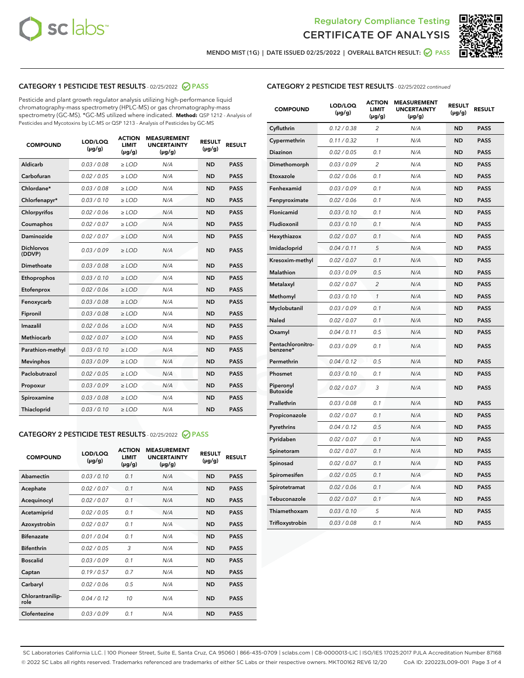



MENDO MIST (1G) | DATE ISSUED 02/25/2022 | OVERALL BATCH RESULT: ◯ PASS

## CATEGORY 1 PESTICIDE TEST RESULTS - 02/25/2022 2 PASS

Pesticide and plant growth regulator analysis utilizing high-performance liquid chromatography-mass spectrometry (HPLC-MS) or gas chromatography-mass spectrometry (GC-MS). \*GC-MS utilized where indicated. **Method:** QSP 1212 - Analysis of Pesticides and Mycotoxins by LC-MS or QSP 1213 - Analysis of Pesticides by GC-MS

| 0.03 / 0.08<br>Aldicarb<br>$\ge$ LOD<br><b>ND</b><br><b>PASS</b><br>N/A<br>Carbofuran<br>0.02 / 0.05<br>$\ge$ LOD<br>N/A<br><b>ND</b><br><b>PASS</b><br>Chlordane*<br>0.03 / 0.08<br>N/A<br><b>ND</b><br><b>PASS</b><br>$\ge$ LOD<br>Chlorfenapyr*<br>0.03/0.10<br>N/A<br><b>ND</b><br><b>PASS</b><br>$\ge$ LOD<br>0.02/0.06<br>$>$ LOD<br>N/A<br><b>ND</b><br><b>PASS</b><br>Chlorpyrifos<br>Coumaphos<br>0.02 / 0.07<br>$\ge$ LOD<br>N/A<br><b>ND</b><br><b>PASS</b><br>Daminozide<br>0.02 / 0.07<br>$\ge$ LOD<br>N/A<br><b>ND</b><br><b>PASS</b><br><b>Dichlorvos</b><br>0.03/0.09<br>N/A<br><b>ND</b><br><b>PASS</b><br>$\ge$ LOD<br>(DDVP)<br><b>Dimethoate</b><br>0.03 / 0.08<br>N/A<br><b>ND</b><br><b>PASS</b><br>$\ge$ LOD<br>0.03/0.10<br><b>ND</b><br><b>PASS</b><br>Ethoprophos<br>$\ge$ LOD<br>N/A<br>0.02 / 0.06<br><b>PASS</b><br>Etofenprox<br>$\ge$ LOD<br>N/A<br><b>ND</b><br>0.03/0.08<br>N/A<br><b>ND</b><br><b>PASS</b><br>Fenoxycarb<br>$>$ LOD<br>0.03 / 0.08<br><b>ND</b><br>Fipronil<br>$\ge$ LOD<br>N/A<br><b>PASS</b><br>Imazalil<br>0.02 / 0.06<br>N/A<br><b>ND</b><br>$\ge$ LOD<br><b>PASS</b><br><b>Methiocarb</b><br>0.02 / 0.07<br>$\ge$ LOD<br>N/A<br><b>ND</b><br><b>PASS</b><br>N/A<br><b>ND</b><br><b>PASS</b><br>Parathion-methyl<br>0.03/0.10<br>$\ge$ LOD<br>0.03/0.09<br>N/A<br>$\ge$ LOD<br><b>ND</b><br><b>PASS</b><br><b>Mevinphos</b><br>Paclobutrazol<br>0.02 / 0.05<br>N/A<br><b>ND</b><br><b>PASS</b><br>$\ge$ LOD<br>0.03/0.09<br>N/A<br><b>ND</b><br>$\ge$ LOD<br><b>PASS</b><br>Propoxur<br>0.03 / 0.08<br>N/A<br><b>ND</b><br><b>PASS</b><br>Spiroxamine<br>$>$ LOD<br>0.03/0.10<br><b>ND</b><br><b>PASS</b><br>Thiacloprid<br>$\ge$ LOD<br>N/A | <b>COMPOUND</b> | LOD/LOQ<br>$(\mu g/g)$ | <b>ACTION</b><br><b>LIMIT</b><br>$(\mu g/g)$ | <b>MEASUREMENT</b><br><b>UNCERTAINTY</b><br>$(\mu g/g)$ | <b>RESULT</b><br>$(\mu g/g)$ | <b>RESULT</b> |
|----------------------------------------------------------------------------------------------------------------------------------------------------------------------------------------------------------------------------------------------------------------------------------------------------------------------------------------------------------------------------------------------------------------------------------------------------------------------------------------------------------------------------------------------------------------------------------------------------------------------------------------------------------------------------------------------------------------------------------------------------------------------------------------------------------------------------------------------------------------------------------------------------------------------------------------------------------------------------------------------------------------------------------------------------------------------------------------------------------------------------------------------------------------------------------------------------------------------------------------------------------------------------------------------------------------------------------------------------------------------------------------------------------------------------------------------------------------------------------------------------------------------------------------------------------------------------------------------------------------------------------------------------------------------------------------------------|-----------------|------------------------|----------------------------------------------|---------------------------------------------------------|------------------------------|---------------|
|                                                                                                                                                                                                                                                                                                                                                                                                                                                                                                                                                                                                                                                                                                                                                                                                                                                                                                                                                                                                                                                                                                                                                                                                                                                                                                                                                                                                                                                                                                                                                                                                                                                                                                    |                 |                        |                                              |                                                         |                              |               |
|                                                                                                                                                                                                                                                                                                                                                                                                                                                                                                                                                                                                                                                                                                                                                                                                                                                                                                                                                                                                                                                                                                                                                                                                                                                                                                                                                                                                                                                                                                                                                                                                                                                                                                    |                 |                        |                                              |                                                         |                              |               |
|                                                                                                                                                                                                                                                                                                                                                                                                                                                                                                                                                                                                                                                                                                                                                                                                                                                                                                                                                                                                                                                                                                                                                                                                                                                                                                                                                                                                                                                                                                                                                                                                                                                                                                    |                 |                        |                                              |                                                         |                              |               |
|                                                                                                                                                                                                                                                                                                                                                                                                                                                                                                                                                                                                                                                                                                                                                                                                                                                                                                                                                                                                                                                                                                                                                                                                                                                                                                                                                                                                                                                                                                                                                                                                                                                                                                    |                 |                        |                                              |                                                         |                              |               |
|                                                                                                                                                                                                                                                                                                                                                                                                                                                                                                                                                                                                                                                                                                                                                                                                                                                                                                                                                                                                                                                                                                                                                                                                                                                                                                                                                                                                                                                                                                                                                                                                                                                                                                    |                 |                        |                                              |                                                         |                              |               |
|                                                                                                                                                                                                                                                                                                                                                                                                                                                                                                                                                                                                                                                                                                                                                                                                                                                                                                                                                                                                                                                                                                                                                                                                                                                                                                                                                                                                                                                                                                                                                                                                                                                                                                    |                 |                        |                                              |                                                         |                              |               |
|                                                                                                                                                                                                                                                                                                                                                                                                                                                                                                                                                                                                                                                                                                                                                                                                                                                                                                                                                                                                                                                                                                                                                                                                                                                                                                                                                                                                                                                                                                                                                                                                                                                                                                    |                 |                        |                                              |                                                         |                              |               |
|                                                                                                                                                                                                                                                                                                                                                                                                                                                                                                                                                                                                                                                                                                                                                                                                                                                                                                                                                                                                                                                                                                                                                                                                                                                                                                                                                                                                                                                                                                                                                                                                                                                                                                    |                 |                        |                                              |                                                         |                              |               |
|                                                                                                                                                                                                                                                                                                                                                                                                                                                                                                                                                                                                                                                                                                                                                                                                                                                                                                                                                                                                                                                                                                                                                                                                                                                                                                                                                                                                                                                                                                                                                                                                                                                                                                    |                 |                        |                                              |                                                         |                              |               |
|                                                                                                                                                                                                                                                                                                                                                                                                                                                                                                                                                                                                                                                                                                                                                                                                                                                                                                                                                                                                                                                                                                                                                                                                                                                                                                                                                                                                                                                                                                                                                                                                                                                                                                    |                 |                        |                                              |                                                         |                              |               |
|                                                                                                                                                                                                                                                                                                                                                                                                                                                                                                                                                                                                                                                                                                                                                                                                                                                                                                                                                                                                                                                                                                                                                                                                                                                                                                                                                                                                                                                                                                                                                                                                                                                                                                    |                 |                        |                                              |                                                         |                              |               |
|                                                                                                                                                                                                                                                                                                                                                                                                                                                                                                                                                                                                                                                                                                                                                                                                                                                                                                                                                                                                                                                                                                                                                                                                                                                                                                                                                                                                                                                                                                                                                                                                                                                                                                    |                 |                        |                                              |                                                         |                              |               |
|                                                                                                                                                                                                                                                                                                                                                                                                                                                                                                                                                                                                                                                                                                                                                                                                                                                                                                                                                                                                                                                                                                                                                                                                                                                                                                                                                                                                                                                                                                                                                                                                                                                                                                    |                 |                        |                                              |                                                         |                              |               |
|                                                                                                                                                                                                                                                                                                                                                                                                                                                                                                                                                                                                                                                                                                                                                                                                                                                                                                                                                                                                                                                                                                                                                                                                                                                                                                                                                                                                                                                                                                                                                                                                                                                                                                    |                 |                        |                                              |                                                         |                              |               |
|                                                                                                                                                                                                                                                                                                                                                                                                                                                                                                                                                                                                                                                                                                                                                                                                                                                                                                                                                                                                                                                                                                                                                                                                                                                                                                                                                                                                                                                                                                                                                                                                                                                                                                    |                 |                        |                                              |                                                         |                              |               |
|                                                                                                                                                                                                                                                                                                                                                                                                                                                                                                                                                                                                                                                                                                                                                                                                                                                                                                                                                                                                                                                                                                                                                                                                                                                                                                                                                                                                                                                                                                                                                                                                                                                                                                    |                 |                        |                                              |                                                         |                              |               |
|                                                                                                                                                                                                                                                                                                                                                                                                                                                                                                                                                                                                                                                                                                                                                                                                                                                                                                                                                                                                                                                                                                                                                                                                                                                                                                                                                                                                                                                                                                                                                                                                                                                                                                    |                 |                        |                                              |                                                         |                              |               |
|                                                                                                                                                                                                                                                                                                                                                                                                                                                                                                                                                                                                                                                                                                                                                                                                                                                                                                                                                                                                                                                                                                                                                                                                                                                                                                                                                                                                                                                                                                                                                                                                                                                                                                    |                 |                        |                                              |                                                         |                              |               |
|                                                                                                                                                                                                                                                                                                                                                                                                                                                                                                                                                                                                                                                                                                                                                                                                                                                                                                                                                                                                                                                                                                                                                                                                                                                                                                                                                                                                                                                                                                                                                                                                                                                                                                    |                 |                        |                                              |                                                         |                              |               |
|                                                                                                                                                                                                                                                                                                                                                                                                                                                                                                                                                                                                                                                                                                                                                                                                                                                                                                                                                                                                                                                                                                                                                                                                                                                                                                                                                                                                                                                                                                                                                                                                                                                                                                    |                 |                        |                                              |                                                         |                              |               |
|                                                                                                                                                                                                                                                                                                                                                                                                                                                                                                                                                                                                                                                                                                                                                                                                                                                                                                                                                                                                                                                                                                                                                                                                                                                                                                                                                                                                                                                                                                                                                                                                                                                                                                    |                 |                        |                                              |                                                         |                              |               |

## CATEGORY 2 PESTICIDE TEST RESULTS - 02/25/2022 2 PASS

| <b>COMPOUND</b>          | LOD/LOO<br>$(\mu g/g)$ | <b>ACTION</b><br><b>LIMIT</b><br>$(\mu g/g)$ | <b>MEASUREMENT</b><br><b>UNCERTAINTY</b><br>$(\mu g/g)$ | <b>RESULT</b><br>$(\mu g/g)$ | <b>RESULT</b> |
|--------------------------|------------------------|----------------------------------------------|---------------------------------------------------------|------------------------------|---------------|
| Abamectin                | 0.03/0.10              | 0.1                                          | N/A                                                     | <b>ND</b>                    | <b>PASS</b>   |
| Acephate                 | 0.02/0.07              | 0.1                                          | N/A                                                     | <b>ND</b>                    | <b>PASS</b>   |
| Acequinocyl              | 0.02/0.07              | 0.1                                          | N/A                                                     | <b>ND</b>                    | <b>PASS</b>   |
| Acetamiprid              | 0.02/0.05              | 0.1                                          | N/A                                                     | <b>ND</b>                    | <b>PASS</b>   |
| Azoxystrobin             | 0.02/0.07              | 0.1                                          | N/A                                                     | <b>ND</b>                    | <b>PASS</b>   |
| <b>Bifenazate</b>        | 0.01/0.04              | 0.1                                          | N/A                                                     | <b>ND</b>                    | <b>PASS</b>   |
| <b>Bifenthrin</b>        | 0.02/0.05              | 3                                            | N/A                                                     | <b>ND</b>                    | <b>PASS</b>   |
| <b>Boscalid</b>          | 0.03/0.09              | 0.1                                          | N/A                                                     | <b>ND</b>                    | <b>PASS</b>   |
| Captan                   | 0.19/0.57              | 0.7                                          | N/A                                                     | <b>ND</b>                    | <b>PASS</b>   |
| Carbaryl                 | 0.02/0.06              | 0.5                                          | N/A                                                     | <b>ND</b>                    | <b>PASS</b>   |
| Chlorantranilip-<br>role | 0.04/0.12              | 10                                           | N/A                                                     | <b>ND</b>                    | <b>PASS</b>   |
| Clofentezine             | 0.03/0.09              | 0.1                                          | N/A                                                     | <b>ND</b>                    | <b>PASS</b>   |

## CATEGORY 2 PESTICIDE TEST RESULTS - 02/25/2022 continued

| <b>COMPOUND</b>               | LOD/LOQ<br>(µg/g) | <b>ACTION</b><br><b>LIMIT</b><br>(µg/g) | <b>MEASUREMENT</b><br><b>UNCERTAINTY</b><br>$(\mu g/g)$ | <b>RESULT</b><br>(µg/g) | <b>RESULT</b> |
|-------------------------------|-------------------|-----------------------------------------|---------------------------------------------------------|-------------------------|---------------|
| Cyfluthrin                    | 0.12 / 0.38       | $\overline{c}$                          | N/A                                                     | <b>ND</b>               | <b>PASS</b>   |
| Cypermethrin                  | 0.11 / 0.32       | $\mathcal{I}$                           | N/A                                                     | <b>ND</b>               | <b>PASS</b>   |
| <b>Diazinon</b>               | 0.02 / 0.05       | 0.1                                     | N/A                                                     | <b>ND</b>               | <b>PASS</b>   |
| Dimethomorph                  | 0.03 / 0.09       | $\overline{2}$                          | N/A                                                     | <b>ND</b>               | <b>PASS</b>   |
| Etoxazole                     | 0.02 / 0.06       | 0.1                                     | N/A                                                     | ND                      | PASS          |
| Fenhexamid                    | 0.03 / 0.09       | 0.1                                     | N/A                                                     | <b>ND</b>               | <b>PASS</b>   |
| Fenpyroximate                 | 0.02 / 0.06       | 0.1                                     | N/A                                                     | <b>ND</b>               | <b>PASS</b>   |
| Flonicamid                    | 0.03 / 0.10       | 0.1                                     | N/A                                                     | <b>ND</b>               | <b>PASS</b>   |
| Fludioxonil                   | 0.03 / 0.10       | 0.1                                     | N/A                                                     | <b>ND</b>               | <b>PASS</b>   |
| Hexythiazox                   | 0.02 / 0.07       | 0.1                                     | N/A                                                     | ND                      | <b>PASS</b>   |
| Imidacloprid                  | 0.04 / 0.11       | 5                                       | N/A                                                     | <b>ND</b>               | <b>PASS</b>   |
| Kresoxim-methyl               | 0.02 / 0.07       | 0.1                                     | N/A                                                     | <b>ND</b>               | <b>PASS</b>   |
| Malathion                     | 0.03 / 0.09       | 0.5                                     | N/A                                                     | <b>ND</b>               | <b>PASS</b>   |
| Metalaxyl                     | 0.02 / 0.07       | $\overline{c}$                          | N/A                                                     | <b>ND</b>               | PASS          |
| Methomyl                      | 0.03 / 0.10       | $\mathcal{I}$                           | N/A                                                     | ND                      | PASS          |
| Myclobutanil                  | 0.03 / 0.09       | 0.1                                     | N/A                                                     | <b>ND</b>               | <b>PASS</b>   |
| Naled                         | 0.02 / 0.07       | 0.1                                     | N/A                                                     | ND                      | <b>PASS</b>   |
| Oxamyl                        | 0.04 / 0.11       | 0.5                                     | N/A                                                     | ND                      | <b>PASS</b>   |
| Pentachloronitro-<br>benzene* | 0.03 / 0.09       | 0.1                                     | N/A                                                     | ND                      | <b>PASS</b>   |
| Permethrin                    | 0.04/0.12         | 0.5                                     | N/A                                                     | <b>ND</b>               | <b>PASS</b>   |
| Phosmet                       | 0.03 / 0.10       | 0.1                                     | N/A                                                     | <b>ND</b>               | <b>PASS</b>   |
| Piperonyl<br><b>Butoxide</b>  | 0.02 / 0.07       | 3                                       | N/A                                                     | <b>ND</b>               | <b>PASS</b>   |
| Prallethrin                   | 0.03 / 0.08       | 0.1                                     | N/A                                                     | <b>ND</b>               | <b>PASS</b>   |
| Propiconazole                 | 0.02 / 0.07       | 0.1                                     | N/A                                                     | ND                      | <b>PASS</b>   |
| Pyrethrins                    | 0.04 / 0.12       | 0.5                                     | N/A                                                     | <b>ND</b>               | <b>PASS</b>   |
| Pyridaben                     | 0.02 / 0.07       | 0.1                                     | N/A                                                     | <b>ND</b>               | <b>PASS</b>   |
| Spinetoram                    | 0.02 / 0.07       | 0.1                                     | N/A                                                     | <b>ND</b>               | PASS          |
| Spinosad                      | 0.02 / 0.07       | 0.1                                     | N/A                                                     | ND                      | PASS          |
| Spiromesifen                  | 0.02 / 0.05       | 0.1                                     | N/A                                                     | <b>ND</b>               | <b>PASS</b>   |
| Spirotetramat                 | 0.02 / 0.06       | 0.1                                     | N/A                                                     | <b>ND</b>               | <b>PASS</b>   |
| Tebuconazole                  | 0.02 / 0.07       | 0.1                                     | N/A                                                     | ND                      | <b>PASS</b>   |
| Thiamethoxam                  | 0.03 / 0.10       | 5                                       | N/A                                                     | ND                      | <b>PASS</b>   |
| Trifloxystrobin               | 0.03 / 0.08       | 0.1                                     | N/A                                                     | <b>ND</b>               | <b>PASS</b>   |

SC Laboratories California LLC. | 100 Pioneer Street, Suite E, Santa Cruz, CA 95060 | 866-435-0709 | sclabs.com | C8-0000013-LIC | ISO/IES 17025:2017 PJLA Accreditation Number 87168 © 2022 SC Labs all rights reserved. Trademarks referenced are trademarks of either SC Labs or their respective owners. MKT00162 REV6 12/20 CoA ID: 220223L009-001 Page 3 of 4